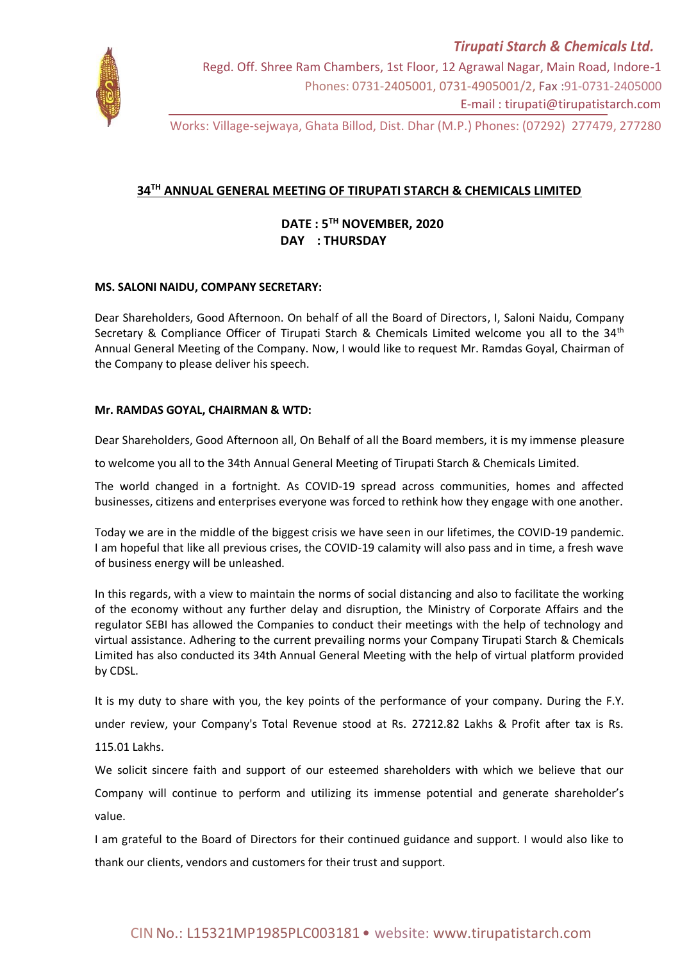

Regd. Off. Shree Ram Chambers, 1st Floor, 12 Agrawal Nagar, Main Road, Indore-1 Phones: 0731-2405001, 0731-4905001/2, Fax :91-0731-2405000 E-mail : tirupati@tirupatistarch.com

Works: Village-sejwaya, Ghata Billod, Dist. Dhar (M.P.) Phones: (07292) 277479, 277280

## **34TH ANNUAL GENERAL MEETING OF TIRUPATI STARCH & CHEMICALS LIMITED**

 **DATE : 5 TH NOVEMBER, 2020 DAY : THURSDAY**

## **MS. SALONI NAIDU, COMPANY SECRETARY:**

Dear Shareholders, Good Afternoon. On behalf of all the Board of Directors, I, Saloni Naidu, Company Secretary & Compliance Officer of Tirupati Starch & Chemicals Limited welcome you all to the 34<sup>th</sup> Annual General Meeting of the Company. Now, I would like to request Mr. Ramdas Goyal, Chairman of the Company to please deliver his speech.

## **Mr. RAMDAS GOYAL, CHAIRMAN & WTD:**

Dear Shareholders, Good Afternoon all, On Behalf of all the Board members, it is my immense pleasure

to welcome you all to the 34th Annual General Meeting of Tirupati Starch & Chemicals Limited.

The world changed in a fortnight. As COVID-19 spread across communities, homes and affected businesses, citizens and enterprises everyone was forced to rethink how they engage with one another.

Today we are in the middle of the biggest crisis we have seen in our lifetimes, the COVID-19 pandemic. I am hopeful that like all previous crises, the COVID-19 calamity will also pass and in time, a fresh wave of business energy will be unleashed.

In this regards, with a view to maintain the norms of social distancing and also to facilitate the working of the economy without any further delay and disruption, the Ministry of Corporate Affairs and the regulator SEBI has allowed the Companies to conduct their meetings with the help of technology and virtual assistance. Adhering to the current prevailing norms your Company Tirupati Starch & Chemicals Limited has also conducted its 34th Annual General Meeting with the help of virtual platform provided by CDSL.

It is my duty to share with you, the key points of the performance of your company. During the F.Y.

under review, your Company's Total Revenue stood at Rs. 27212.82 Lakhs & Profit after tax is Rs.

115.01 Lakhs.

We solicit sincere faith and support of our esteemed shareholders with which we believe that our

Company will continue to perform and utilizing its immense potential and generate shareholder's value.

I am grateful to the Board of Directors for their continued guidance and support. I would also like to thank our clients, vendors and customers for their trust and support.